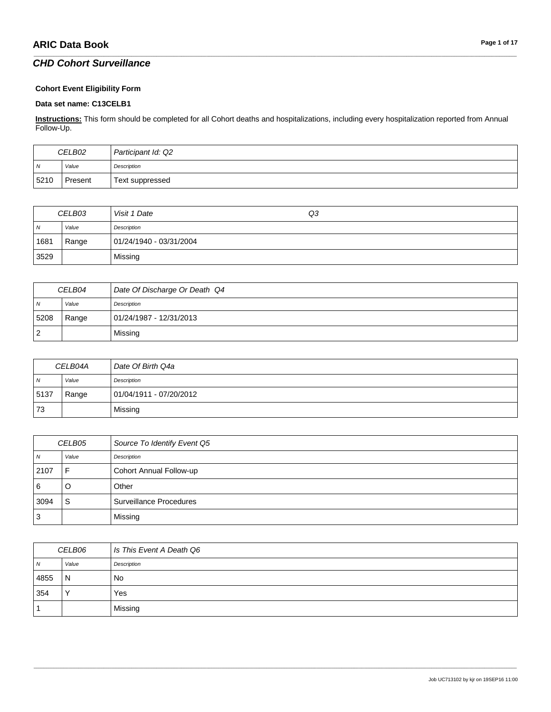#### **Cohort Event Eligibility Form**

#### **Data set name: C13CELB1**

**Instructions:** This form should be completed for all Cohort deaths and hospitalizations, including every hospitalization reported from Annual Follow-Up.

\_\_\_\_\_\_\_\_\_\_\_\_\_\_\_\_\_\_\_\_\_\_\_\_\_\_\_\_\_\_\_\_\_\_\_\_\_\_\_\_\_\_\_\_\_\_\_\_\_\_\_\_\_\_\_\_\_\_\_\_\_\_\_\_\_\_\_\_\_\_\_\_\_\_\_\_\_\_\_\_\_\_\_\_\_\_\_\_\_\_\_\_\_\_\_\_\_\_\_\_\_\_\_\_\_\_\_\_\_\_\_\_\_\_\_\_\_\_\_\_\_\_\_\_\_\_\_\_\_\_\_\_\_\_\_\_\_\_\_\_\_\_\_\_\_\_\_\_\_\_\_\_\_\_\_\_\_\_\_\_\_\_\_\_\_\_\_\_\_\_\_\_\_\_\_\_\_\_\_\_\_\_\_\_\_\_\_\_\_\_\_\_\_

| CELB02         |         | Participant Id: Q2 |
|----------------|---------|--------------------|
| $\overline{N}$ | Value   | Description        |
| 5210           | Present | Text suppressed    |

| CELB03     |       | Visit 1 Date            | Q3 |
|------------|-------|-------------------------|----|
| $\sqrt{N}$ | Value | Description             |    |
| 1681       | Range | 01/24/1940 - 03/31/2004 |    |
| 3529       |       | Missing                 |    |

| CELB04         |       | Date Of Discharge Or Death Q4 |
|----------------|-------|-------------------------------|
| N <sub>N</sub> | Value | Description                   |
| 5208           | Range | 01/24/1987 - 12/31/2013       |
| $\overline{2}$ |       | Missing                       |

| CELB04A        |       | Date Of Birth Q4a       |
|----------------|-------|-------------------------|
| $\overline{N}$ | Value | Description             |
| 5137           | Range | 01/04/1911 - 07/20/2012 |
| 73             |       | Missing                 |

| <i>CELB05</i>  |       | Source To Identify Event Q5 |
|----------------|-------|-----------------------------|
| $\overline{N}$ | Value | Description                 |
| 2107           |       | Cohort Annual Follow-up     |
| 6              | U     | Other                       |
| 3094           | S     | Surveillance Procedures     |
| $\overline{3}$ |       | Missing                     |

| <i>CELB06</i> |              | Is This Event A Death Q6 |
|---------------|--------------|--------------------------|
| N             | Value        | Description              |
| 4855          | $\mathsf{N}$ | <b>No</b>                |
| 354           | $\sqrt{}$    | Yes                      |
|               |              | Missing                  |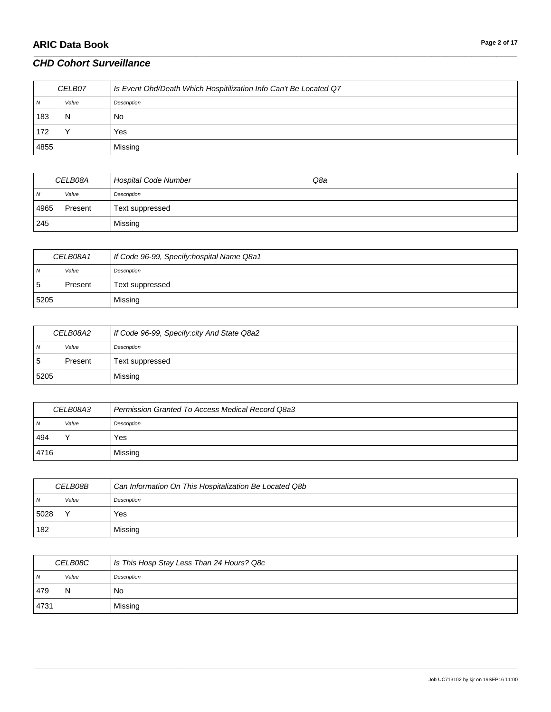| CELB07         |       | Is Event Ohd/Death Which Hospitilization Info Can't Be Located Q7 |
|----------------|-------|-------------------------------------------------------------------|
| $\overline{N}$ | Value | Description                                                       |
| 183            | N     | No.                                                               |
| 172            |       | Yes                                                               |
| 4855           |       | Missing                                                           |

\_\_\_\_\_\_\_\_\_\_\_\_\_\_\_\_\_\_\_\_\_\_\_\_\_\_\_\_\_\_\_\_\_\_\_\_\_\_\_\_\_\_\_\_\_\_\_\_\_\_\_\_\_\_\_\_\_\_\_\_\_\_\_\_\_\_\_\_\_\_\_\_\_\_\_\_\_\_\_\_\_\_\_\_\_\_\_\_\_\_\_\_\_\_\_\_\_\_\_\_\_\_\_\_\_\_\_\_\_\_\_\_\_\_\_\_\_\_\_\_\_\_\_\_\_\_\_\_\_\_\_\_\_\_\_\_\_\_\_\_\_\_\_\_\_\_\_\_\_\_\_\_\_\_\_\_\_\_\_\_\_\_\_\_\_\_\_\_\_\_\_\_\_\_\_\_\_\_\_\_\_\_\_\_\_\_\_\_\_\_\_\_\_

| <i>CELB08A</i> |         | <b>Hospital Code Number</b> | Q8a |
|----------------|---------|-----------------------------|-----|
| N              | Value   | Description                 |     |
| 4965           | Present | Text suppressed             |     |
| 245            |         | Missing                     |     |

| CELB08A1 |         | If Code 96-99, Specify: hospital Name Q8a1 |
|----------|---------|--------------------------------------------|
| N        | Value   | Description                                |
| ۱5       | Present | Text suppressed                            |
| 5205     |         | Missing                                    |

| <i>CELB08A2</i> |         | If Code 96-99, Specify: city And State Q8a2 |
|-----------------|---------|---------------------------------------------|
| $\overline{N}$  | Value   | Description                                 |
| -5              | Present | Text suppressed                             |
| 5205            |         | Missing                                     |

| CELB08A3 |       | Permission Granted To Access Medical Record Q8a3 |
|----------|-------|--------------------------------------------------|
| N        | Value | Description                                      |
| 494      |       | Yes                                              |
| 4716     |       | Missing                                          |

| CELB08B        |              | Can Information On This Hospitalization Be Located Q8b |
|----------------|--------------|--------------------------------------------------------|
| N <sub>N</sub> | Value        | Description                                            |
| 5028           | $\checkmark$ | Yes                                                    |
| 182            |              | Missing                                                |

| <i>CELB08C</i> |       | Is This Hosp Stay Less Than 24 Hours? Q8c |
|----------------|-------|-------------------------------------------|
| $\overline{N}$ | Value | Description                               |
| 479            | N     | No                                        |
| 4731           |       | Missing                                   |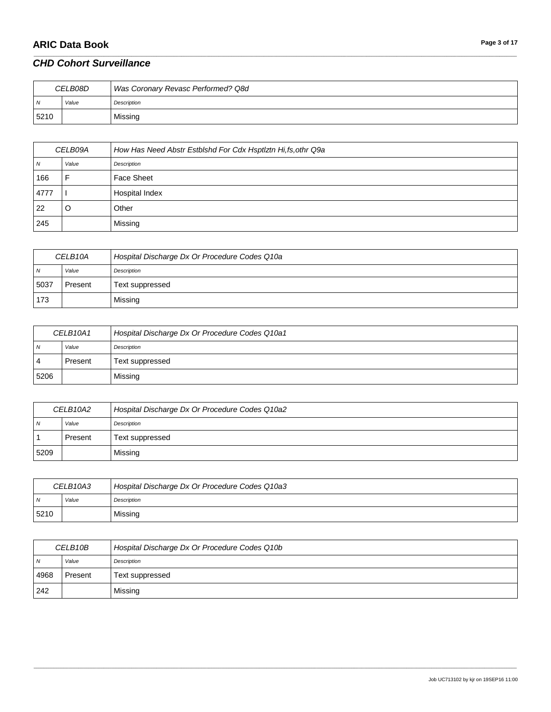# **ARIC Data Book Page 3 of 17**

### *CHD Cohort Surveillance*

| CELB08D        |       | Was Coronary Revasc Performed? Q8d |
|----------------|-------|------------------------------------|
| $\overline{N}$ | Value | Description                        |
| 5210           |       | Missing                            |

\_\_\_\_\_\_\_\_\_\_\_\_\_\_\_\_\_\_\_\_\_\_\_\_\_\_\_\_\_\_\_\_\_\_\_\_\_\_\_\_\_\_\_\_\_\_\_\_\_\_\_\_\_\_\_\_\_\_\_\_\_\_\_\_\_\_\_\_\_\_\_\_\_\_\_\_\_\_\_\_\_\_\_\_\_\_\_\_\_\_\_\_\_\_\_\_\_\_\_\_\_\_\_\_\_\_\_\_\_\_\_\_\_\_\_\_\_\_\_\_\_\_\_\_\_\_\_\_\_\_\_\_\_\_\_\_\_\_\_\_\_\_\_\_\_\_\_\_\_\_\_\_\_\_\_\_\_\_\_\_\_\_\_\_\_\_\_\_\_\_\_\_\_\_\_\_\_\_\_\_\_\_\_\_\_\_\_\_\_\_\_\_\_

| CELB09A |       | How Has Need Abstr Estblshd For Cdx Hsptlztn Hi,fs, othr Q9a |
|---------|-------|--------------------------------------------------------------|
| N       | Value | Description                                                  |
| 166     |       | Face Sheet                                                   |
| 4777    |       | Hospital Index                                               |
| 22      | O     | Other                                                        |
| 245     |       | Missing                                                      |

| CELB10A |         | Hospital Discharge Dx Or Procedure Codes Q10a |
|---------|---------|-----------------------------------------------|
| N       | Value   | Description                                   |
| 5037    | Present | Text suppressed                               |
| 173     |         | Missing                                       |

| CELB <sub>10A1</sub> |         | Hospital Discharge Dx Or Procedure Codes Q10a1 |
|----------------------|---------|------------------------------------------------|
| N                    | Value   | Description                                    |
| 4                    | Present | Text suppressed                                |
| 5206                 |         | Missing                                        |

| CELB10A2       |           | Hospital Discharge Dx Or Procedure Codes Q10a2 |
|----------------|-----------|------------------------------------------------|
| $\overline{N}$ | Value     | Description                                    |
|                | l Present | Text suppressed                                |
| 5209           |           | Missing                                        |

| CELB <sub>10</sub> A <sub>3</sub> |       | Hospital Discharge Dx Or Procedure Codes Q10a3 |
|-----------------------------------|-------|------------------------------------------------|
| N                                 | Value | Description                                    |
| 5210                              |       | Missing                                        |

| CELB10B        |         | Hospital Discharge Dx Or Procedure Codes Q10b |
|----------------|---------|-----------------------------------------------|
| $\overline{N}$ | Value   | Description                                   |
| 4968           | Present | Text suppressed                               |
| 242            |         | Missing                                       |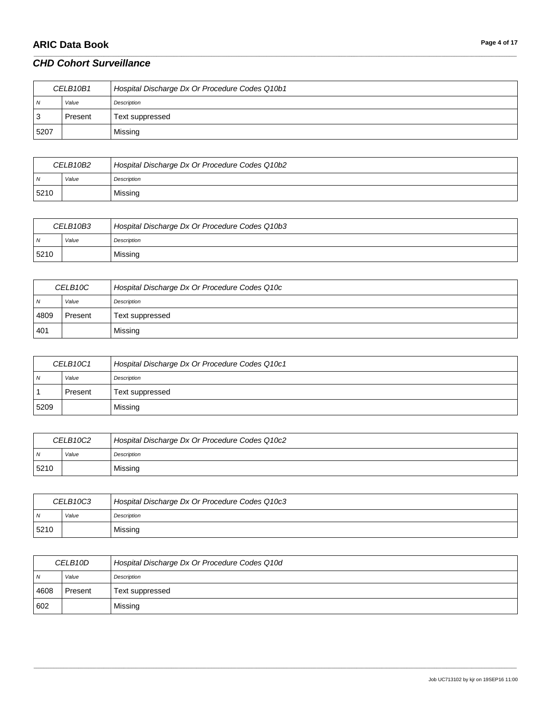# **ARIC Data Book Page 4 of 17**

### *CHD Cohort Surveillance*

| CELB10B1 |         | Hospital Discharge Dx Or Procedure Codes Q10b1 |
|----------|---------|------------------------------------------------|
| N        | Value   | Description                                    |
| -3       | Present | Text suppressed                                |
| 5207     |         | Missing                                        |

\_\_\_\_\_\_\_\_\_\_\_\_\_\_\_\_\_\_\_\_\_\_\_\_\_\_\_\_\_\_\_\_\_\_\_\_\_\_\_\_\_\_\_\_\_\_\_\_\_\_\_\_\_\_\_\_\_\_\_\_\_\_\_\_\_\_\_\_\_\_\_\_\_\_\_\_\_\_\_\_\_\_\_\_\_\_\_\_\_\_\_\_\_\_\_\_\_\_\_\_\_\_\_\_\_\_\_\_\_\_\_\_\_\_\_\_\_\_\_\_\_\_\_\_\_\_\_\_\_\_\_\_\_\_\_\_\_\_\_\_\_\_\_\_\_\_\_\_\_\_\_\_\_\_\_\_\_\_\_\_\_\_\_\_\_\_\_\_\_\_\_\_\_\_\_\_\_\_\_\_\_\_\_\_\_\_\_\_\_\_\_\_\_

| CELB10B2 |       | Hospital Discharge Dx Or Procedure Codes Q10b2 |
|----------|-------|------------------------------------------------|
|          | Value | Description                                    |
| 5210     |       | Missing                                        |

| CELB10B3       |       | Hospital Discharge Dx Or Procedure Codes Q10b3 |
|----------------|-------|------------------------------------------------|
| $\overline{M}$ | Value | Description                                    |
| 5210           |       | Missing                                        |

| CELB10C        |         | Hospital Discharge Dx Or Procedure Codes Q10c |
|----------------|---------|-----------------------------------------------|
| $\overline{N}$ | Value   | Description                                   |
| 4809           | Present | Text suppressed                               |
| 401            |         | Missing                                       |

| CELB10C1 |         | Hospital Discharge Dx Or Procedure Codes Q10c1 |
|----------|---------|------------------------------------------------|
| N        | Value   | Description                                    |
|          | Present | Text suppressed                                |
| 5209     |         | Missing                                        |

| CELB <sub>10</sub> C <sub>2</sub> |       | Hospital Discharge Dx Or Procedure Codes Q10c2 |
|-----------------------------------|-------|------------------------------------------------|
| . N                               | Value | Description                                    |
| 5210                              |       | Missing                                        |

| CELB10C3 |       | Hospital Discharge Dx Or Procedure Codes Q10c3 |
|----------|-------|------------------------------------------------|
| N        | Value | Description                                    |
| 5210     |       | Missing                                        |

| CELB <sub>10</sub> D |         | Hospital Discharge Dx Or Procedure Codes Q10d |
|----------------------|---------|-----------------------------------------------|
| N <sub>N</sub>       | Value   | Description                                   |
| 4608                 | Present | Text suppressed                               |
| 602                  |         | Missing                                       |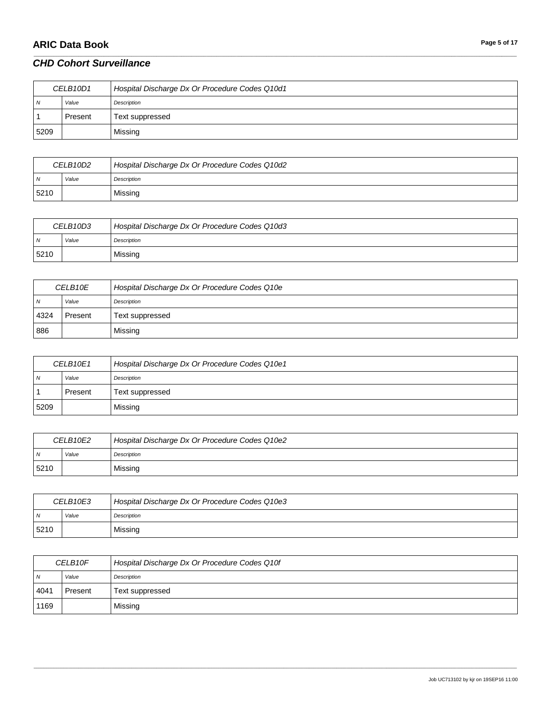# **ARIC Data Book Page 5 of 17**

### *CHD Cohort Surveillance*

| CELB <sub>10D1</sub> |         | Hospital Discharge Dx Or Procedure Codes Q10d1 |
|----------------------|---------|------------------------------------------------|
| N                    | Value   | Description                                    |
|                      | Present | Text suppressed                                |
| 5209                 |         | Missing                                        |

\_\_\_\_\_\_\_\_\_\_\_\_\_\_\_\_\_\_\_\_\_\_\_\_\_\_\_\_\_\_\_\_\_\_\_\_\_\_\_\_\_\_\_\_\_\_\_\_\_\_\_\_\_\_\_\_\_\_\_\_\_\_\_\_\_\_\_\_\_\_\_\_\_\_\_\_\_\_\_\_\_\_\_\_\_\_\_\_\_\_\_\_\_\_\_\_\_\_\_\_\_\_\_\_\_\_\_\_\_\_\_\_\_\_\_\_\_\_\_\_\_\_\_\_\_\_\_\_\_\_\_\_\_\_\_\_\_\_\_\_\_\_\_\_\_\_\_\_\_\_\_\_\_\_\_\_\_\_\_\_\_\_\_\_\_\_\_\_\_\_\_\_\_\_\_\_\_\_\_\_\_\_\_\_\_\_\_\_\_\_\_\_\_

| CELB <sub>10D2</sub> |       | Hospital Discharge Dx Or Procedure Codes Q10d2 |
|----------------------|-------|------------------------------------------------|
|                      | Value | Description                                    |
| 5210                 |       | Missing                                        |

| CELB10D3 |       | Hospital Discharge Dx Or Procedure Codes Q10d3 |
|----------|-------|------------------------------------------------|
| ıN.      | Value | Description                                    |
| 5210     |       | Missing                                        |

| CELB10E        |         | Hospital Discharge Dx Or Procedure Codes Q10e |
|----------------|---------|-----------------------------------------------|
| $\overline{N}$ | Value   | Description                                   |
| 4324           | Present | Text suppressed                               |
| 886            |         | Missing                                       |

| CELB10E1 |         | Hospital Discharge Dx Or Procedure Codes Q10e1 |
|----------|---------|------------------------------------------------|
| N        | Value   | Description                                    |
|          | Present | Text suppressed                                |
| 5209     |         | Missing                                        |

| CELB10E2 |       | Hospital Discharge Dx Or Procedure Codes Q10e2 |
|----------|-------|------------------------------------------------|
| N        | Value | Description                                    |
| 5210     |       | Missing                                        |

| CELB10E3 |       | Hospital Discharge Dx Or Procedure Codes Q10e3 |
|----------|-------|------------------------------------------------|
| N        | Value | Description                                    |
| 5210     |       | Missing                                        |

| CELB <sub>10F</sub> |         | Hospital Discharge Dx Or Procedure Codes Q10f |
|---------------------|---------|-----------------------------------------------|
| N                   | Value   | Description                                   |
| 4041                | Present | Text suppressed                               |
| 1169                |         | Missing                                       |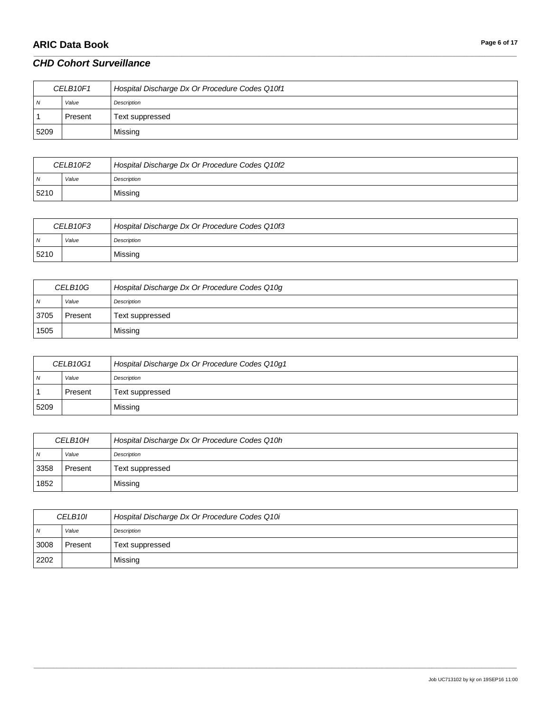# **ARIC Data Book Page 6** of 17

### *CHD Cohort Surveillance*

| CELB10F1 |         | Hospital Discharge Dx Or Procedure Codes Q10f1 |
|----------|---------|------------------------------------------------|
| N        | Value   | Description                                    |
|          | Present | Text suppressed                                |
| 5209     |         | Missing                                        |

\_\_\_\_\_\_\_\_\_\_\_\_\_\_\_\_\_\_\_\_\_\_\_\_\_\_\_\_\_\_\_\_\_\_\_\_\_\_\_\_\_\_\_\_\_\_\_\_\_\_\_\_\_\_\_\_\_\_\_\_\_\_\_\_\_\_\_\_\_\_\_\_\_\_\_\_\_\_\_\_\_\_\_\_\_\_\_\_\_\_\_\_\_\_\_\_\_\_\_\_\_\_\_\_\_\_\_\_\_\_\_\_\_\_\_\_\_\_\_\_\_\_\_\_\_\_\_\_\_\_\_\_\_\_\_\_\_\_\_\_\_\_\_\_\_\_\_\_\_\_\_\_\_\_\_\_\_\_\_\_\_\_\_\_\_\_\_\_\_\_\_\_\_\_\_\_\_\_\_\_\_\_\_\_\_\_\_\_\_\_\_\_\_

| CELB <sub>10F2</sub> |       | Hospital Discharge Dx Or Procedure Codes Q10f2 |
|----------------------|-------|------------------------------------------------|
| $\mathbf{v}$         | Value | Description                                    |
| 5210                 |       | Missing                                        |

| CELB10F3 |       | Hospital Discharge Dx Or Procedure Codes Q10f3 |
|----------|-------|------------------------------------------------|
| IN.      | Value | Description                                    |
| 5210     |       | Missing                                        |

| CELB <sub>10G</sub> |         | Hospital Discharge Dx Or Procedure Codes Q10g |
|---------------------|---------|-----------------------------------------------|
| $\overline{N}$      | Value   | Description                                   |
| 3705                | Present | Text suppressed                               |
| 1505                |         | Missing                                       |

| CELB <sub>10G1</sub> |         | Hospital Discharge Dx Or Procedure Codes Q10g1 |
|----------------------|---------|------------------------------------------------|
| N                    | Value   | Description                                    |
|                      | Present | Text suppressed                                |
| 5209                 |         | Missing                                        |

| CELB <sub>10H</sub> |         | Hospital Discharge Dx Or Procedure Codes Q10h |
|---------------------|---------|-----------------------------------------------|
| $\overline{N}$      | Value   | Description                                   |
| 3358                | Present | Text suppressed                               |
| 1852                |         | Missing                                       |

| CELB10I |         | Hospital Discharge Dx Or Procedure Codes Q10i |
|---------|---------|-----------------------------------------------|
| N       | Value   | Description                                   |
| 3008    | Present | Text suppressed                               |
| 2202    |         | Missing                                       |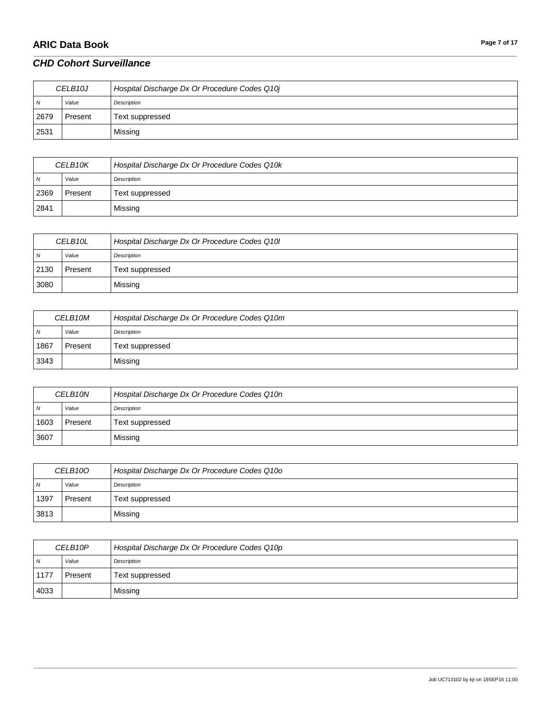# **ARIC Data Book Page 7** of 17

### *CHD Cohort Surveillance*

| CELB10J        |         | Hospital Discharge Dx Or Procedure Codes Q10j |
|----------------|---------|-----------------------------------------------|
| N <sub>N</sub> | Value   | Description                                   |
| 2679           | Present | Text suppressed                               |
| 2531           |         | Missing                                       |

\_\_\_\_\_\_\_\_\_\_\_\_\_\_\_\_\_\_\_\_\_\_\_\_\_\_\_\_\_\_\_\_\_\_\_\_\_\_\_\_\_\_\_\_\_\_\_\_\_\_\_\_\_\_\_\_\_\_\_\_\_\_\_\_\_\_\_\_\_\_\_\_\_\_\_\_\_\_\_\_\_\_\_\_\_\_\_\_\_\_\_\_\_\_\_\_\_\_\_\_\_\_\_\_\_\_\_\_\_\_\_\_\_\_\_\_\_\_\_\_\_\_\_\_\_\_\_\_\_\_\_\_\_\_\_\_\_\_\_\_\_\_\_\_\_\_\_\_\_\_\_\_\_\_\_\_\_\_\_\_\_\_\_\_\_\_\_\_\_\_\_\_\_\_\_\_\_\_\_\_\_\_\_\_\_\_\_\_\_\_\_\_\_

| CELB <sub>10</sub> K |         | Hospital Discharge Dx Or Procedure Codes Q10k |
|----------------------|---------|-----------------------------------------------|
| N                    | Value   | Description                                   |
| 2369                 | Present | Text suppressed                               |
| 2841                 |         | Missing                                       |

| CELB10L        |         | Hospital Discharge Dx Or Procedure Codes Q10I |
|----------------|---------|-----------------------------------------------|
| N <sub>N</sub> | Value   | Description                                   |
| 2130           | Present | Text suppressed                               |
| 3080           |         | Missing                                       |

| CELB <sub>10M</sub> |         | Hospital Discharge Dx Or Procedure Codes Q10m |
|---------------------|---------|-----------------------------------------------|
| N <sub>N</sub>      | Value   | Description                                   |
| 1867                | Present | Text suppressed                               |
| 3343                |         | Missing                                       |

| CELB <sub>10N</sub> |         | Hospital Discharge Dx Or Procedure Codes Q10n |
|---------------------|---------|-----------------------------------------------|
| N <sub>N</sub>      | Value   | Description                                   |
| 1603                | Present | Text suppressed                               |
| 3607                |         | Missing                                       |

| CELB10O        |         | Hospital Discharge Dx Or Procedure Codes Q10o |
|----------------|---------|-----------------------------------------------|
| $\overline{N}$ | Value   | Description                                   |
| 1397           | Present | Text suppressed                               |
| 3813           |         | Missing                                       |

| CELB10P        |         | Hospital Discharge Dx Or Procedure Codes Q10p |
|----------------|---------|-----------------------------------------------|
| $\overline{N}$ | Value   | Description                                   |
| 1177           | Present | Text suppressed                               |
| 4033           |         | Missing                                       |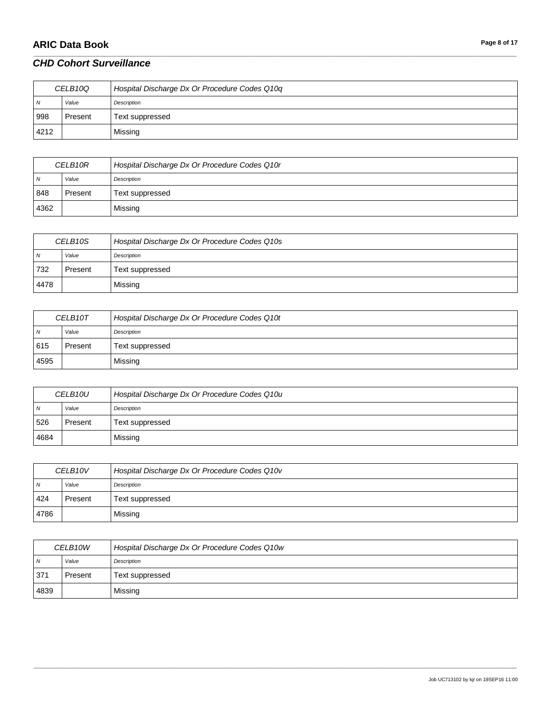# **ARIC Data Book Page 8 of 17**

### *CHD Cohort Surveillance*

| CELB <sub>10Q</sub> |         | Hospital Discharge Dx Or Procedure Codes Q10q |
|---------------------|---------|-----------------------------------------------|
| N <sub>N</sub>      | Value   | Description                                   |
| 998                 | Present | Text suppressed                               |
| 4212                |         | Missing                                       |

\_\_\_\_\_\_\_\_\_\_\_\_\_\_\_\_\_\_\_\_\_\_\_\_\_\_\_\_\_\_\_\_\_\_\_\_\_\_\_\_\_\_\_\_\_\_\_\_\_\_\_\_\_\_\_\_\_\_\_\_\_\_\_\_\_\_\_\_\_\_\_\_\_\_\_\_\_\_\_\_\_\_\_\_\_\_\_\_\_\_\_\_\_\_\_\_\_\_\_\_\_\_\_\_\_\_\_\_\_\_\_\_\_\_\_\_\_\_\_\_\_\_\_\_\_\_\_\_\_\_\_\_\_\_\_\_\_\_\_\_\_\_\_\_\_\_\_\_\_\_\_\_\_\_\_\_\_\_\_\_\_\_\_\_\_\_\_\_\_\_\_\_\_\_\_\_\_\_\_\_\_\_\_\_\_\_\_\_\_\_\_\_\_

| CELB10R |         | Hospital Discharge Dx Or Procedure Codes Q10r |
|---------|---------|-----------------------------------------------|
| N       | Value   | Description                                   |
| 848     | Present | Text suppressed                               |
| 4362    |         | Missing                                       |

| CELB <sub>10S</sub> |         | Hospital Discharge Dx Or Procedure Codes Q10s |
|---------------------|---------|-----------------------------------------------|
| N <sub>N</sub>      | Value   | Description                                   |
| 732                 | Present | Text suppressed                               |
| 4478                |         | Missing                                       |

| CELB10T        |         | Hospital Discharge Dx Or Procedure Codes Q10t |
|----------------|---------|-----------------------------------------------|
| $\overline{N}$ | Value   | Description                                   |
| 615            | Present | Text suppressed                               |
| 4595           |         | Missing                                       |

| CELB <sub>10U</sub> |         | Hospital Discharge Dx Or Procedure Codes Q10u |
|---------------------|---------|-----------------------------------------------|
| N <sub>N</sub>      | Value   | Description                                   |
| 526                 | Present | Text suppressed                               |
| 4684                |         | Missing                                       |

| CELB <sub>10V</sub> |         | Hospital Discharge Dx Or Procedure Codes Q10v |
|---------------------|---------|-----------------------------------------------|
| $\overline{M}$      | Value   | Description                                   |
| 424                 | Present | Text suppressed                               |
| 4786                |         | Missing                                       |

| CELB10W        |         | Hospital Discharge Dx Or Procedure Codes Q10w |
|----------------|---------|-----------------------------------------------|
| $\overline{N}$ | Value   | Description                                   |
| 371            | Present | Text suppressed                               |
| 4839           |         | Missing                                       |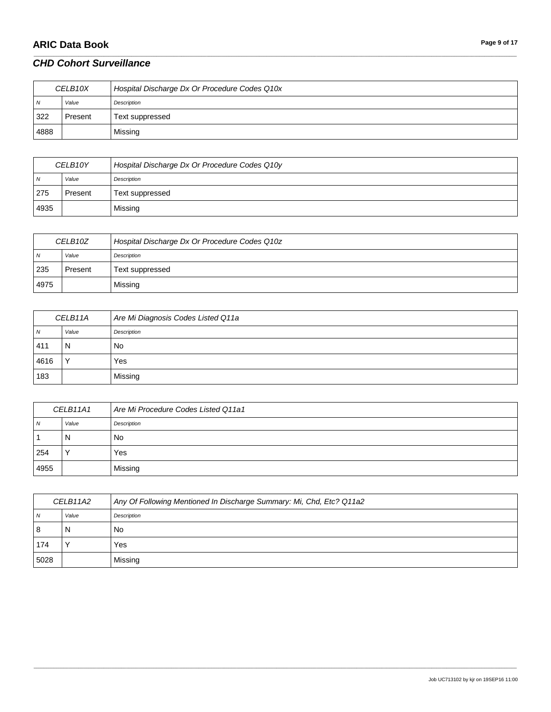# **ARIC Data Book Page 9 of 17**

#### *CHD Cohort Surveillance*

| CELB <sub>10X</sub> |         | Hospital Discharge Dx Or Procedure Codes Q10x |
|---------------------|---------|-----------------------------------------------|
| N                   | Value   | Description                                   |
| 322                 | Present | Text suppressed                               |
| 4888                |         | Missing                                       |

\_\_\_\_\_\_\_\_\_\_\_\_\_\_\_\_\_\_\_\_\_\_\_\_\_\_\_\_\_\_\_\_\_\_\_\_\_\_\_\_\_\_\_\_\_\_\_\_\_\_\_\_\_\_\_\_\_\_\_\_\_\_\_\_\_\_\_\_\_\_\_\_\_\_\_\_\_\_\_\_\_\_\_\_\_\_\_\_\_\_\_\_\_\_\_\_\_\_\_\_\_\_\_\_\_\_\_\_\_\_\_\_\_\_\_\_\_\_\_\_\_\_\_\_\_\_\_\_\_\_\_\_\_\_\_\_\_\_\_\_\_\_\_\_\_\_\_\_\_\_\_\_\_\_\_\_\_\_\_\_\_\_\_\_\_\_\_\_\_\_\_\_\_\_\_\_\_\_\_\_\_\_\_\_\_\_\_\_\_\_\_\_\_

| CELB <sub>10</sub> Y |         | Hospital Discharge Dx Or Procedure Codes Q10y |
|----------------------|---------|-----------------------------------------------|
| $\overline{N}$       | Value   | Description                                   |
| 275                  | Present | Text suppressed                               |
| 4935                 |         | Missing                                       |

| CELB <sub>10Z</sub> |         | Hospital Discharge Dx Or Procedure Codes Q10z |
|---------------------|---------|-----------------------------------------------|
| N <sub>N</sub>      | Value   | Description                                   |
| 235                 | Present | Text suppressed                               |
| 4975                |         | Missing                                       |

| CELB11A |              | Are Mi Diagnosis Codes Listed Q11a |
|---------|--------------|------------------------------------|
| N       | Value        | Description                        |
| 411     | N            | No                                 |
| 4616    | $\checkmark$ | Yes                                |
| 183     |              | Missing                            |

| CELB11A1   |       | Are Mi Procedure Codes Listed Q11a1 |
|------------|-------|-------------------------------------|
| $\sqrt{N}$ | Value | Description                         |
|            | N     | No                                  |
| 254        |       | Yes                                 |
| 4955       |       | Missing                             |

| CELB11A2 |       | Any Of Following Mentioned In Discharge Summary: Mi, Chd, Etc? Q11a2 |
|----------|-------|----------------------------------------------------------------------|
| N        | Value | Description                                                          |
| 8        | N     | <b>No</b>                                                            |
| 174      |       | Yes                                                                  |
| 5028     |       | Missing                                                              |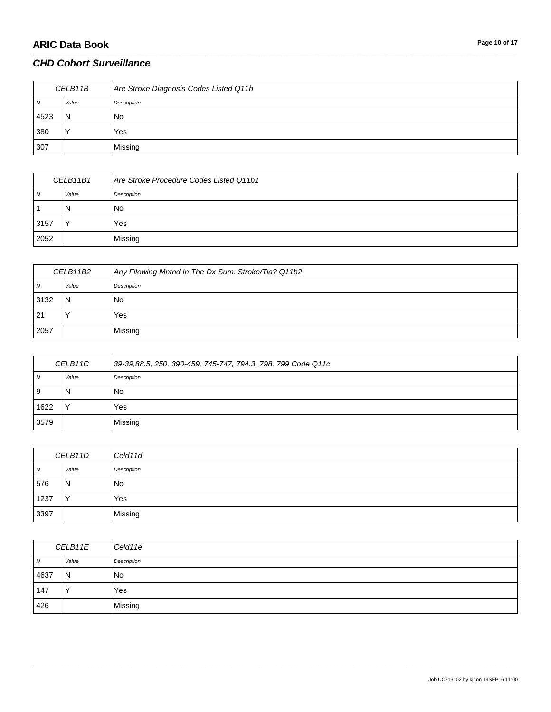# **ARIC Data Book Page 10 of 17**

### *CHD Cohort Surveillance*

| CELB11B        |       | Are Stroke Diagnosis Codes Listed Q11b |
|----------------|-------|----------------------------------------|
| $\overline{N}$ | Value | Description                            |
| 4523           | N     | No.                                    |
| 380            |       | Yes                                    |
| 307            |       | Missing                                |

\_\_\_\_\_\_\_\_\_\_\_\_\_\_\_\_\_\_\_\_\_\_\_\_\_\_\_\_\_\_\_\_\_\_\_\_\_\_\_\_\_\_\_\_\_\_\_\_\_\_\_\_\_\_\_\_\_\_\_\_\_\_\_\_\_\_\_\_\_\_\_\_\_\_\_\_\_\_\_\_\_\_\_\_\_\_\_\_\_\_\_\_\_\_\_\_\_\_\_\_\_\_\_\_\_\_\_\_\_\_\_\_\_\_\_\_\_\_\_\_\_\_\_\_\_\_\_\_\_\_\_\_\_\_\_\_\_\_\_\_\_\_\_\_\_\_\_\_\_\_\_\_\_\_\_\_\_\_\_\_\_\_\_\_\_\_\_\_\_\_\_\_\_\_\_\_\_\_\_\_\_\_\_\_\_\_\_\_\_\_\_\_\_

| CELB11B1 |              | Are Stroke Procedure Codes Listed Q11b1 |
|----------|--------------|-----------------------------------------|
| N        | Value        | Description                             |
|          | N            | No                                      |
| 3157     | $\checkmark$ | Yes                                     |
| 2052     |              | Missing                                 |

| CELB11B2 |       | Any Fllowing Mntnd In The Dx Sum: Stroke/Tia? Q11b2 |
|----------|-------|-----------------------------------------------------|
| 7V       | Value | Description                                         |
| 3132     | N     | No                                                  |
| 21       |       | Yes                                                 |
| 2057     |       | Missing                                             |

| CELB11C |       | 39-39,88.5, 250, 390-459, 745-747, 794.3, 798, 799 Code Q11c |
|---------|-------|--------------------------------------------------------------|
| N       | Value | Description                                                  |
| 9       | N     | No                                                           |
| 1622    |       | Yes                                                          |
| 3579    |       | Missing                                                      |

| CELB11D |       | Celd11d     |
|---------|-------|-------------|
| N       | Value | Description |
| 576     | N     | <b>No</b>   |
| 1237    |       | Yes         |
| 3397    |       | Missing     |

| CELB11E |              | Celd11e     |
|---------|--------------|-------------|
| N       | Value        | Description |
| 4637    | N            | No          |
| 147     | $\checkmark$ | Yes         |
| 426     |              | Missing     |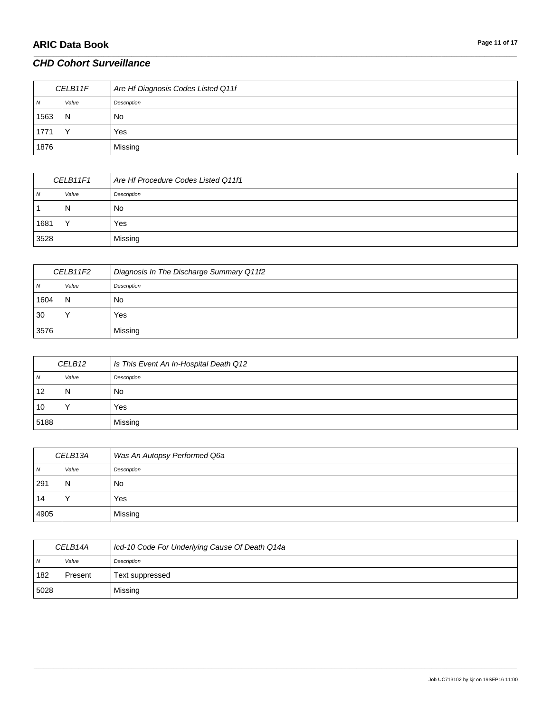# **ARIC Data Book Page 11 of 17**

### *CHD Cohort Surveillance*

| CELB11F        |       | Are Hf Diagnosis Codes Listed Q11f |
|----------------|-------|------------------------------------|
| $\overline{N}$ | Value | Description                        |
| 1563           | N     | No                                 |
| 1771           |       | Yes                                |
| 1876           |       | Missing                            |

\_\_\_\_\_\_\_\_\_\_\_\_\_\_\_\_\_\_\_\_\_\_\_\_\_\_\_\_\_\_\_\_\_\_\_\_\_\_\_\_\_\_\_\_\_\_\_\_\_\_\_\_\_\_\_\_\_\_\_\_\_\_\_\_\_\_\_\_\_\_\_\_\_\_\_\_\_\_\_\_\_\_\_\_\_\_\_\_\_\_\_\_\_\_\_\_\_\_\_\_\_\_\_\_\_\_\_\_\_\_\_\_\_\_\_\_\_\_\_\_\_\_\_\_\_\_\_\_\_\_\_\_\_\_\_\_\_\_\_\_\_\_\_\_\_\_\_\_\_\_\_\_\_\_\_\_\_\_\_\_\_\_\_\_\_\_\_\_\_\_\_\_\_\_\_\_\_\_\_\_\_\_\_\_\_\_\_\_\_\_\_\_\_

| CELB11F1     |              | Are Hf Procedure Codes Listed Q11f1 |
|--------------|--------------|-------------------------------------|
| <sub>N</sub> | Value        | Description                         |
|              | N            | No                                  |
| 1681         | $\checkmark$ | Yes                                 |
| 3528         |              | Missing                             |

| CELB11F2 |       | Diagnosis In The Discharge Summary Q11f2 |
|----------|-------|------------------------------------------|
| 7V       | Value | Description                              |
| 1604     | N     | No                                       |
| 30       |       | Yes                                      |
| 3576     |       | Missing                                  |

| CELB12 |       | Is This Event An In-Hospital Death Q12 |
|--------|-------|----------------------------------------|
| N      | Value | Description                            |
| 12     | N     | No                                     |
| 10     |       | Yes                                    |
| 5188   |       | Missing                                |

| CELB13A        |       | Was An Autopsy Performed Q6a |
|----------------|-------|------------------------------|
| $\overline{N}$ | Value | Description                  |
| 291            | N     | No                           |
| 14             |       | Yes                          |
| 4905           |       | Missing                      |

| CELB14A        |         | Icd-10 Code For Underlying Cause Of Death Q14a |
|----------------|---------|------------------------------------------------|
| $\overline{N}$ | Value   | Description                                    |
| 182            | Present | Text suppressed                                |
| 5028           |         | Missing                                        |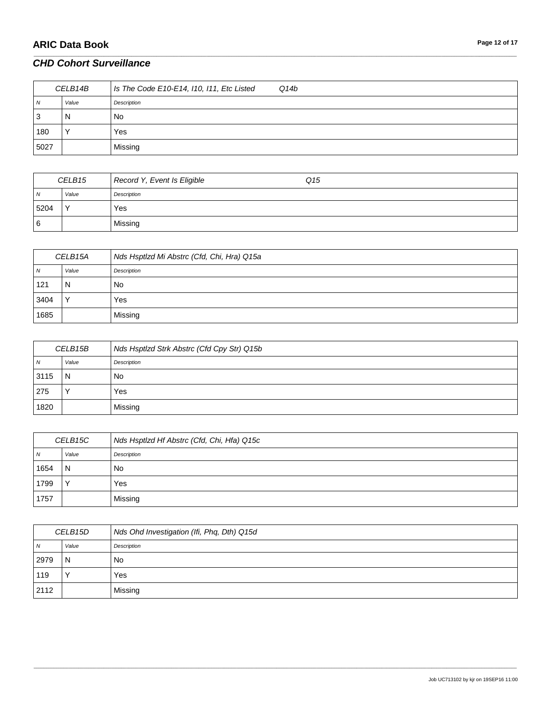| CELB14B        |       | $\vert$ Is The Code E10-E14, I10, I11, Etc Listed<br>Q14b |
|----------------|-------|-----------------------------------------------------------|
| $\overline{N}$ | Value | Description                                               |
| 3              | N     | No.                                                       |
| 180            |       | Yes                                                       |
| 5027           |       | Missing                                                   |

\_\_\_\_\_\_\_\_\_\_\_\_\_\_\_\_\_\_\_\_\_\_\_\_\_\_\_\_\_\_\_\_\_\_\_\_\_\_\_\_\_\_\_\_\_\_\_\_\_\_\_\_\_\_\_\_\_\_\_\_\_\_\_\_\_\_\_\_\_\_\_\_\_\_\_\_\_\_\_\_\_\_\_\_\_\_\_\_\_\_\_\_\_\_\_\_\_\_\_\_\_\_\_\_\_\_\_\_\_\_\_\_\_\_\_\_\_\_\_\_\_\_\_\_\_\_\_\_\_\_\_\_\_\_\_\_\_\_\_\_\_\_\_\_\_\_\_\_\_\_\_\_\_\_\_\_\_\_\_\_\_\_\_\_\_\_\_\_\_\_\_\_\_\_\_\_\_\_\_\_\_\_\_\_\_\_\_\_\_\_\_\_\_

| CELB15         |              | Record Y, Event Is Eligible | Q15 |
|----------------|--------------|-----------------------------|-----|
| $\overline{N}$ | Value        | Description                 |     |
| 5204           | $\checkmark$ | Yes                         |     |
| 6              |              | Missing                     |     |

| CELB15A      |              | Nds Hsptlzd Mi Abstrc (Cfd, Chi, Hra) Q15a |
|--------------|--------------|--------------------------------------------|
| <sub>N</sub> | Value        | Description                                |
| 121          | N            | No                                         |
| 3404         | $\checkmark$ | Yes                                        |
| 1685         |              | Missing                                    |

| CELB15B |       | Nds Hsptlzd Strk Abstrc (Cfd Cpy Str) Q15b |
|---------|-------|--------------------------------------------|
| N       | Value | Description                                |
| 3115    | N     | No.                                        |
| 275     |       | Yes                                        |
| 1820    |       | Missing                                    |

| CELB15C |       | Nds Hsptlzd Hf Abstrc (Cfd, Chi, Hfa) Q15c |
|---------|-------|--------------------------------------------|
| N       | Value | Description                                |
| 1654    | N     | No.                                        |
| 1799    |       | Yes                                        |
| 1757    |       | Missing                                    |

| CELB15D |       | Nds Ohd Investigation (Ifi, Phq, Dth) Q15d |
|---------|-------|--------------------------------------------|
| N       | Value | Description                                |
| 2979    | N     | No.                                        |
| 119     |       | Yes                                        |
| 2112    |       | Missing                                    |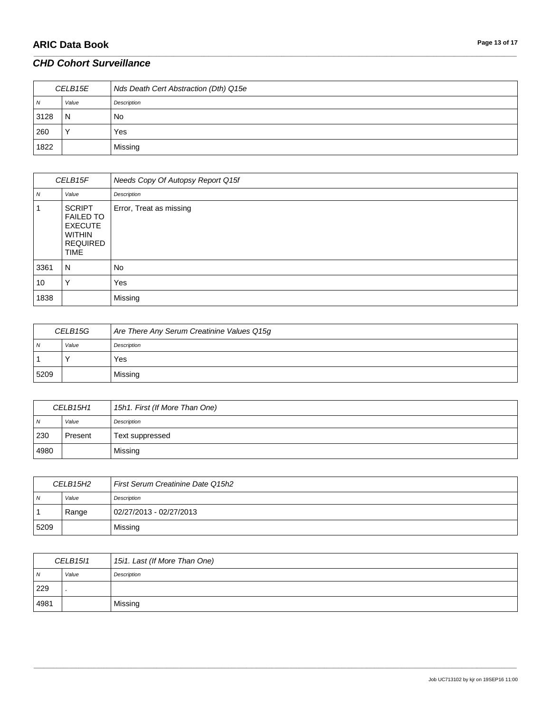# **ARIC Data Book Page 13 of 17**

### *CHD Cohort Surveillance*

| CELB15E        |       | Nds Death Cert Abstraction (Dth) Q15e |
|----------------|-------|---------------------------------------|
| $\overline{N}$ | Value | Description                           |
| 3128           | N     | No.                                   |
| 260            |       | Yes                                   |
| 1822           |       | Missing                               |

\_\_\_\_\_\_\_\_\_\_\_\_\_\_\_\_\_\_\_\_\_\_\_\_\_\_\_\_\_\_\_\_\_\_\_\_\_\_\_\_\_\_\_\_\_\_\_\_\_\_\_\_\_\_\_\_\_\_\_\_\_\_\_\_\_\_\_\_\_\_\_\_\_\_\_\_\_\_\_\_\_\_\_\_\_\_\_\_\_\_\_\_\_\_\_\_\_\_\_\_\_\_\_\_\_\_\_\_\_\_\_\_\_\_\_\_\_\_\_\_\_\_\_\_\_\_\_\_\_\_\_\_\_\_\_\_\_\_\_\_\_\_\_\_\_\_\_\_\_\_\_\_\_\_\_\_\_\_\_\_\_\_\_\_\_\_\_\_\_\_\_\_\_\_\_\_\_\_\_\_\_\_\_\_\_\_\_\_\_\_\_\_\_

| CELB15F |                                                                                                        | Needs Copy Of Autopsy Report Q15f |
|---------|--------------------------------------------------------------------------------------------------------|-----------------------------------|
| N       | Value                                                                                                  | Description                       |
|         | <b>SCRIPT</b><br><b>FAILED TO</b><br><b>EXECUTE</b><br><b>WITHIN</b><br><b>REQUIRED</b><br><b>TIME</b> | Error, Treat as missing           |
| 3361    | N                                                                                                      | No                                |
| 10      | v                                                                                                      | Yes                               |
| 1838    |                                                                                                        | Missing                           |

| CELB15G |       | Are There Any Serum Creatinine Values Q15g |
|---------|-------|--------------------------------------------|
| N       | Value | Description                                |
|         |       | Yes                                        |
| 5209    |       | Missing                                    |

| CELB15H1       |         | 15h1. First (If More Than One) |
|----------------|---------|--------------------------------|
| $\overline{N}$ | Value   | Description                    |
| 230            | Present | Text suppressed                |
| 4980           |         | Missing                        |

| CELB15H2 |       | First Serum Creatinine Date Q15h2 |
|----------|-------|-----------------------------------|
| N        | Value | Description                       |
|          | Range | 02/27/2013 - 02/27/2013           |
| 5209     |       | Missing                           |

| <b>CELB15I1</b> |       | 15i1. Last (If More Than One) |
|-----------------|-------|-------------------------------|
| $\overline{N}$  | Value | Description                   |
| 229             |       |                               |
| 4981            |       | Missing                       |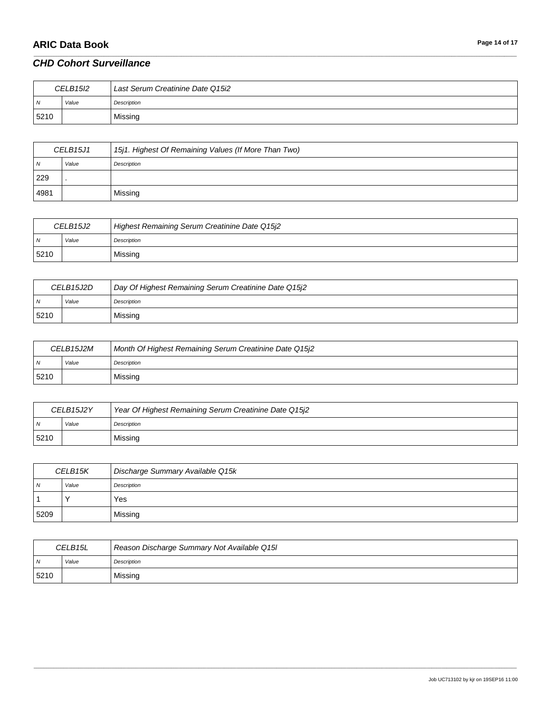# **ARIC Data Book Page 14 of 17**

### *CHD Cohort Surveillance*

| <b>CELB15I2</b> |       | Last Serum Creatinine Date Q15i2 |
|-----------------|-------|----------------------------------|
| N               | Value | Description                      |
| 5210            |       | Missing                          |

\_\_\_\_\_\_\_\_\_\_\_\_\_\_\_\_\_\_\_\_\_\_\_\_\_\_\_\_\_\_\_\_\_\_\_\_\_\_\_\_\_\_\_\_\_\_\_\_\_\_\_\_\_\_\_\_\_\_\_\_\_\_\_\_\_\_\_\_\_\_\_\_\_\_\_\_\_\_\_\_\_\_\_\_\_\_\_\_\_\_\_\_\_\_\_\_\_\_\_\_\_\_\_\_\_\_\_\_\_\_\_\_\_\_\_\_\_\_\_\_\_\_\_\_\_\_\_\_\_\_\_\_\_\_\_\_\_\_\_\_\_\_\_\_\_\_\_\_\_\_\_\_\_\_\_\_\_\_\_\_\_\_\_\_\_\_\_\_\_\_\_\_\_\_\_\_\_\_\_\_\_\_\_\_\_\_\_\_\_\_\_\_\_

| CELB15J1 |       | 15j1. Highest Of Remaining Values (If More Than Two) |
|----------|-------|------------------------------------------------------|
| N        | Value | Description                                          |
| 229      |       |                                                      |
| 4981     |       | Missing                                              |

| CELB15J2 |       | Highest Remaining Serum Creatinine Date Q15j2 |
|----------|-------|-----------------------------------------------|
| N        | Value | Description                                   |
| 5210     |       | Missing                                       |

| CELB <sub>15J2D</sub> |       | Day Of Highest Remaining Serum Creatinine Date Q15j2 |
|-----------------------|-------|------------------------------------------------------|
| N                     | Value | Description                                          |
| 5210                  |       | Missing                                              |

| CELB15J2M |       | Month Of Highest Remaining Serum Creatinine Date Q15j2 |
|-----------|-------|--------------------------------------------------------|
| IN.       | Value | Description                                            |
| 5210      |       | Missing                                                |

| CELB15J2Y      |       | Year Of Highest Remaining Serum Creatinine Date Q15j2 |
|----------------|-------|-------------------------------------------------------|
| $\overline{N}$ | Value | Description                                           |
| 5210           |       | Missing                                               |

| CELB15K        |       | Discharge Summary Available Q15k |
|----------------|-------|----------------------------------|
| N <sub>N</sub> | Value | Description                      |
|                |       | Yes                              |
| 5209           |       | Missing                          |

| CELB15L |       | Reason Discharge Summary Not Available Q15I |
|---------|-------|---------------------------------------------|
| N       | Value | Description                                 |
| 5210    |       | Missing                                     |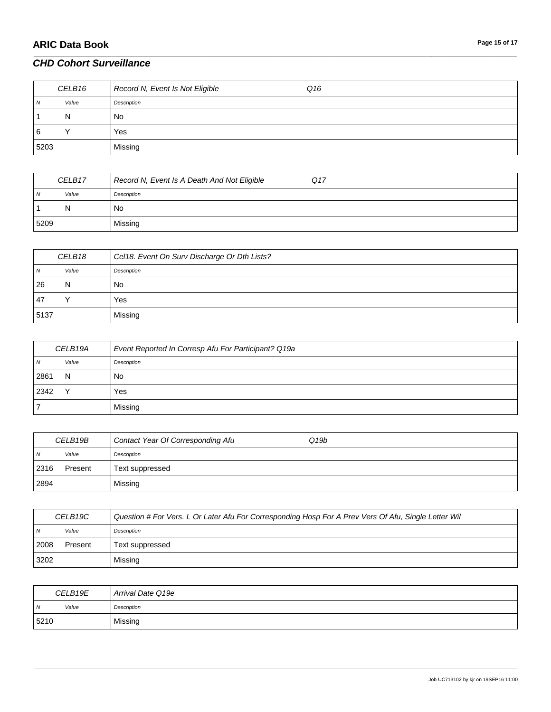| CELB16         |       | Record N, Event Is Not Eligible<br>Q16 |
|----------------|-------|----------------------------------------|
| $\overline{N}$ | Value | Description                            |
|                | N     | No                                     |
| 6              |       | Yes                                    |
| 5203           |       | Missing                                |

\_\_\_\_\_\_\_\_\_\_\_\_\_\_\_\_\_\_\_\_\_\_\_\_\_\_\_\_\_\_\_\_\_\_\_\_\_\_\_\_\_\_\_\_\_\_\_\_\_\_\_\_\_\_\_\_\_\_\_\_\_\_\_\_\_\_\_\_\_\_\_\_\_\_\_\_\_\_\_\_\_\_\_\_\_\_\_\_\_\_\_\_\_\_\_\_\_\_\_\_\_\_\_\_\_\_\_\_\_\_\_\_\_\_\_\_\_\_\_\_\_\_\_\_\_\_\_\_\_\_\_\_\_\_\_\_\_\_\_\_\_\_\_\_\_\_\_\_\_\_\_\_\_\_\_\_\_\_\_\_\_\_\_\_\_\_\_\_\_\_\_\_\_\_\_\_\_\_\_\_\_\_\_\_\_\_\_\_\_\_\_\_\_

| CELB17 |       | Record N, Event Is A Death And Not Eligible<br>Q17 |
|--------|-------|----------------------------------------------------|
| 1 V    | Value | Description                                        |
|        | N     | No                                                 |
| 5209   |       | Missing                                            |

| CELB18 |       | Cel18. Event On Surv Discharge Or Dth Lists? |
|--------|-------|----------------------------------------------|
| N      | Value | Description                                  |
| 26     | N     | No                                           |
| 47     |       | Yes                                          |
| 5137   |       | Missing                                      |

| CELB19A |       | Event Reported In Corresp Afu For Participant? Q19a |
|---------|-------|-----------------------------------------------------|
| N       | Value | Description                                         |
| 2861    | N     | No                                                  |
| 2342    |       | Yes                                                 |
|         |       | Missing                                             |

| CELB19B        |         | Contact Year Of Corresponding Afu<br>Q <sub>19b</sub> |
|----------------|---------|-------------------------------------------------------|
| N <sub>N</sub> | Value   | Description                                           |
| 2316           | Present | Text suppressed                                       |
| 2894           |         | Missing                                               |

| CELB19C |         | Question # For Vers. L Or Later Afu For Corresponding Hosp For A Prev Vers Of Afu, Single Letter Wil |
|---------|---------|------------------------------------------------------------------------------------------------------|
| . N     | Value   | Description                                                                                          |
| 2008    | Present | Text suppressed                                                                                      |
| 3202    |         | Missing                                                                                              |

| CELB19E        |       | Arrival Date Q19e |
|----------------|-------|-------------------|
| $\overline{N}$ | Value | Description       |
| 5210           |       | Missing           |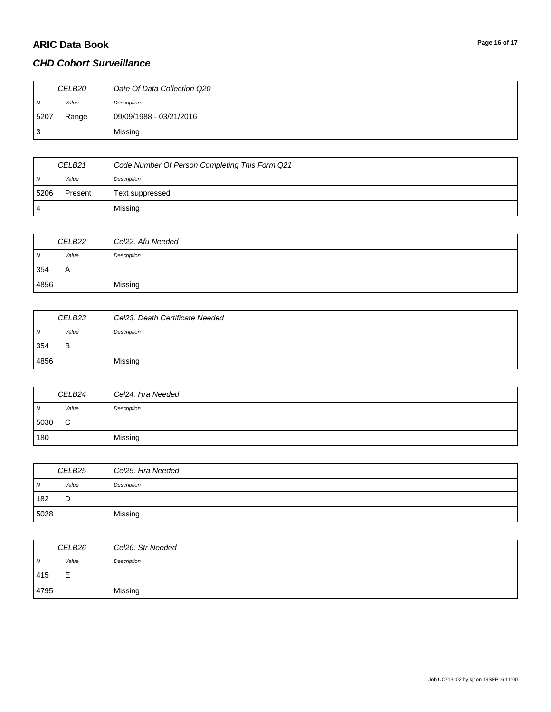# **ARIC Data Book Page 16 of 17**

### *CHD Cohort Surveillance*

| CELB20         |       | Date Of Data Collection Q20 |
|----------------|-------|-----------------------------|
| N <sub>N</sub> | Value | Description                 |
| 5207           | Range | 09/09/1988 - 03/21/2016     |
| 3              |       | Missing                     |

\_\_\_\_\_\_\_\_\_\_\_\_\_\_\_\_\_\_\_\_\_\_\_\_\_\_\_\_\_\_\_\_\_\_\_\_\_\_\_\_\_\_\_\_\_\_\_\_\_\_\_\_\_\_\_\_\_\_\_\_\_\_\_\_\_\_\_\_\_\_\_\_\_\_\_\_\_\_\_\_\_\_\_\_\_\_\_\_\_\_\_\_\_\_\_\_\_\_\_\_\_\_\_\_\_\_\_\_\_\_\_\_\_\_\_\_\_\_\_\_\_\_\_\_\_\_\_\_\_\_\_\_\_\_\_\_\_\_\_\_\_\_\_\_\_\_\_\_\_\_\_\_\_\_\_\_\_\_\_\_\_\_\_\_\_\_\_\_\_\_\_\_\_\_\_\_\_\_\_\_\_\_\_\_\_\_\_\_\_\_\_\_\_

| CELB <sub>21</sub> |         | Code Number Of Person Completing This Form Q21 |
|--------------------|---------|------------------------------------------------|
| $\overline{N}$     | Value   | Description                                    |
| 5206               | Present | Text suppressed                                |
| 4                  |         | Missing                                        |

| CELB22         |       | Cel22. Afu Needed |
|----------------|-------|-------------------|
| $\overline{N}$ | Value | Description       |
| 354            | A     |                   |
| 4856           |       | Missing           |

| CELB <sub>23</sub> |       | Cel23. Death Certificate Needed |
|--------------------|-------|---------------------------------|
| $\overline{N}$     | Value | Description                     |
| 354                | в     |                                 |
| 4856               |       | Missing                         |

| CELB24         |       | Cel24. Hra Needed |
|----------------|-------|-------------------|
| $\overline{N}$ | Value | Description       |
| 5030           | C     |                   |
| 180            |       | Missing           |

| CELB <sub>25</sub> |       | Cel25. Hra Needed |
|--------------------|-------|-------------------|
| $\overline{N}$     | Value | Description       |
| 182                | D     |                   |
| 5028               |       | Missing           |

| CELB26 |       | Cel26. Str Needed |
|--------|-------|-------------------|
| N      | Value | Description       |
| 415    | ᄇ     |                   |
| 4795   |       | Missing           |